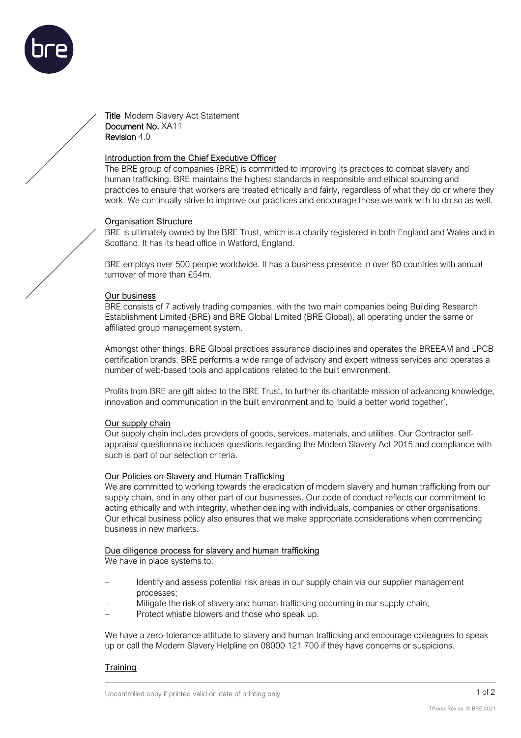

Title Modern Slavery Act Statement Document No. XA11 Revision 4.0

## Introduction from the Chief Executive Officer

The BRE group of companies (BRE) is committed to improving its practices to combat slavery and human trafficking. BRE maintains the highest standards in responsible and ethical sourcing and practices to ensure that workers are treated ethically and fairly, regardless of what they do or where they work. We continually strive to improve our practices and encourage those we work with to do so as well.

### Organisation Structure

BRE is ultimately owned by the BRE Trust, which is a charity registered in both England and Wales and in Scotland. It has its head office in Watford, England.

BRE employs over 500 people worldwide. It has a business presence in over 80 countries with annual turnover of more than £54m.

### Our business

BRE consists of 7 actively trading companies, with the two main companies being Building Research Establishment Limited (BRE) and BRE Global Limited (BRE Global), all operating under the same or affiliated group management system.

Amongst other things, BRE Global practices assurance disciplines and operates the BREEAM and LPCB certification brands. BRE performs a wide range of advisory and expert witness services and operates a number of web-based tools and applications related to the built environment.

Profits from BRE are gift aided to the BRE Trust, to further its charitable mission of advancing knowledge, innovation and communication in the built environment and to 'build a better world together'.

### Our supply chain

Our supply chain includes providers of goods, services, materials, and utilities. Our Contractor selfappraisal questionnaire includes questions regarding the Modern Slavery Act 2015 and compliance with such is part of our selection criteria.

# Our Policies on Slavery and Human Trafficking

We are committed to working towards the eradication of modern slavery and human trafficking from our supply chain, and in any other part of our businesses. Our code of conduct reflects our commitment to acting ethically and with integrity, whether dealing with individuals, companies or other organisations. Our ethical business policy also ensures that we make appropriate considerations when commencing business in new markets.

### Due diligence process for slavery and human trafficking

We have in place systems to:

- Identify and assess potential risk areas in our supply chain via our supplier management processes;
- Mitigate the risk of slavery and human trafficking occurring in our supply chain;
- Protect whistle blowers and those who speak up.

We have a zero-tolerance attitude to slavery and human trafficking and encourage colleagues to speak up or call the Modern Slavery Helpline on 08000 121 700 if they have concerns or suspicions.

# **Training**

1 of 2